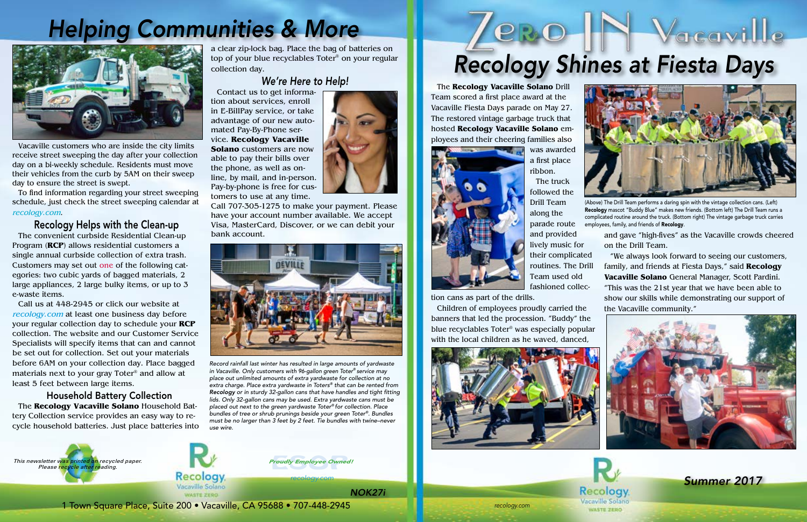*recology.com*

*recology.com*

# **PRO**

1 Town Square Place, Suite 200 • Vacaville, CA 95688 • 707-448-2945

Recology Vacaville Solano





Vacaville customers who are inside the city limits receive street sweeping the day after your collection day on a bi-weekly schedule. Residents must move their vehicles from the curb by 5AM on their sweep day to ensure the street is swept.

To find information regarding your street sweeping schedule, just check the street sweeping calendar at recology.com.

#### Recology Helps with the Clean-up

The convenient curbside Residential Clean-up Program (**RCP**) allows residential customers a single annual curbside collection of extra trash. Customers may set out one of the following categories: two cubic yards of bagged materials, 2 large appliances, 2 large bulky items, or up to 3 e-waste items.

Call us at 448-2945 or click our website at recology.com at least one business day before your regular collection day to schedule your **RCP** collection. The website and our Customer Service Specialists will specify items that can and cannot be set out for collection. Set out your materials before 6AM on your collection day. Place bagged materials next to your gray Toter® and allow at least 5 feet between large items.

#### Household Battery Collection

The **Recology Vacaville Solano** Household Battery Collection service provides an easy way to recycle household batteries. Just place batteries into

### *Helping Communities & More*



a clear zip-lock bag. Place the bag of batteries on top of your blue recyclables Toter® on your regular collection day.

#### *We're Here to Help!*

(Above) The Drill Team performs a daring spin with the vintage collection cans. (Left) Recology mascot "Buddy Blue" makes new friends. (Bottom left) The Drill Team runs a complicated routine around the truck. (Bottom right) The vintage garbage truck carries employees, family, and friends of Recology.

Contact us to get information about services, enroll in E-BillPay service, or take advantage of our new automated Pay-By-Phone service. **Recology Vacaville Solano** customers are now able to pay their bills over the phone, as well as online, by mail, and in-person. Pay-by-phone is free for customers to use at any time.



Call 707-305-1275 to make your payment. Please have your account number available. We accept Visa, MasterCard, Discover, or we can debit your bank account.



*Record rainfall last winter has resulted in large amounts of yardwaste in Vacaville. Only customers with 96-gallon green Toter® service may place out unlimited amounts of extra yardwaste for collection at no extra charge. Place extra yardwaste in Toters® that can be rented from Recology or in sturdy 32-gallon cans that have handles and tight fitting lids. Only 32-gallon cans may be used. Extra yardwaste cans must be placed out next to the green yardwaste Toter® for collection. Place bundles of tree or shrub prunings beside your green Toter®. Bundles must be no larger than 3 feet by 2 feet. Tie bundles with twine–never use wire.*

The **Recology Vacaville Solano** Drill Team scored a first place award at the Vacaville Fiesta Days parade on May 27. The restored vintage garbage truck that hosted **Recology Vacaville Solano** employees and their cheering families also



was awarded a first place ribbon.

The truck followed the Drill Team along the parade route

and provided lively music for their complicated routines. The Drill Team used old fashioned collec-

tion cans as part of the drills.

Children of employees proudly carried the banners that led the procession. "Buddy" the



*Summer 2017*



*NOK27i*

## *Recology Shines at Fiesta Days*

 $\lor$ acavi $\parallel$ le



and gave "high-fives" as the Vacaville crowds cheered on the Drill Team.

"We always look forward to seeing our customers, family, and friends at Fiesta Days," said **Recology Vacaville Solano** General Manager, Scott Pardini. "This was the 21st year that we have been able to show our skills while demonstrating our support of the Vacaville community."